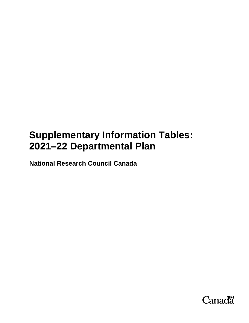# **Supplementary Information Tables: 2021–22 Departmental Plan**

**National Research Council Canada**

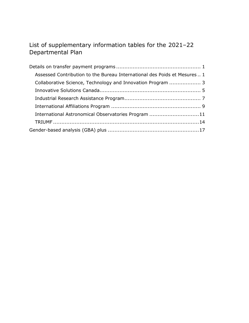# List of supplementary information tables for the 2021–22 Departmental Plan

| Assessed Contribution to the Bureau International des Poids et Mesures  1 |
|---------------------------------------------------------------------------|
| Collaborative Science, Technology and Innovation Program  3               |
|                                                                           |
|                                                                           |
|                                                                           |
| International Astronomical Observatories Program 11                       |
|                                                                           |
|                                                                           |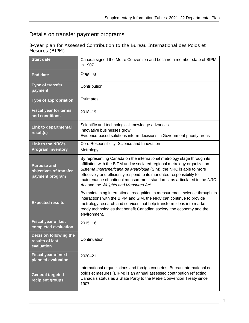# <span id="page-2-0"></span>Details on transfer payment programs

<span id="page-2-1"></span>3-year plan for Assessed Contribution to the Bureau International des Poids et Mesures (BIPM)

| <b>Start date</b>                                               | Canada signed the Metre Convention and became a member state of BIPM<br>in 1907                                                                                                                                                                                                                                                                                                                                           |
|-----------------------------------------------------------------|---------------------------------------------------------------------------------------------------------------------------------------------------------------------------------------------------------------------------------------------------------------------------------------------------------------------------------------------------------------------------------------------------------------------------|
| <b>End date</b>                                                 | Ongoing                                                                                                                                                                                                                                                                                                                                                                                                                   |
| <b>Type of transfer</b><br>payment                              | Contribution                                                                                                                                                                                                                                                                                                                                                                                                              |
| <b>Type of appropriation</b>                                    | <b>Estimates</b>                                                                                                                                                                                                                                                                                                                                                                                                          |
| <b>Fiscal year for terms</b><br>and conditions                  | 2018-19                                                                                                                                                                                                                                                                                                                                                                                                                   |
| <b>Link to departmental</b><br>result(s)                        | Scientific and technological knowledge advances<br>Innovative businesses grow<br>Evidence-based solutions inform decisions in Government priority areas                                                                                                                                                                                                                                                                   |
| <b>Link to the NRC's</b><br><b>Program Inventory</b>            | Core Responsibility: Science and Innovation<br>Metrology                                                                                                                                                                                                                                                                                                                                                                  |
| <b>Purpose and</b><br>objectives of transfer<br>payment program | By representing Canada on the international metrology stage through its<br>affiliation with the BIPM and associated regional metrology organization<br>Sistema Interamericana de Metrologia (SIM), the NRC is able to more<br>effectively and efficiently respond to its mandated responsibility for<br>maintenance of national measurement standards, as articulated in the NRC<br>Act and the Weights and Measures Act. |
| <b>Expected results</b>                                         | By maintaining international recognition in measurement science through its<br>interactions with the BIPM and SIM, the NRC can continue to provide<br>metrology research and services that help transform ideas into market-<br>ready technologies that benefit Canadian society, the economy and the<br>environment.                                                                                                     |
| <b>Fiscal year of last</b><br>completed evaluation              | $2015 - 16$                                                                                                                                                                                                                                                                                                                                                                                                               |
| <b>Decision following the</b><br>results of last<br>evaluation  | Continuation                                                                                                                                                                                                                                                                                                                                                                                                              |
| <b>Fiscal year of next</b><br>planned evaluation                | 2020-21                                                                                                                                                                                                                                                                                                                                                                                                                   |
| <b>General targeted</b><br>recipient groups                     | International organizations and foreign countries. Bureau international des<br>poids et mesures (BIPM) is an annual assessed contribution reflecting<br>Canada's status as a State Party to the Metre Convention Treaty since<br>1907.                                                                                                                                                                                    |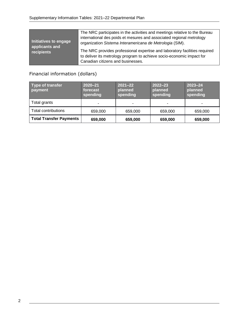| Initiatives to engage<br>applicants and | The NRC participates in the activities and meetings relative to the Bureau<br>international des poids et mesures and associated regional metrology<br>organization Sistema Interamericana de Metrologia (SIM). |
|-----------------------------------------|----------------------------------------------------------------------------------------------------------------------------------------------------------------------------------------------------------------|
| recipients                              | The NRC provides professional expertise and laboratory facilities required<br>to deliver its metrology program to achieve socio-economic impact for<br>Canadian citizens and businesses.                       |

| Type of transfer<br>payment    | $2020 - 21$<br>forecast<br>spending | $2021 - 22$<br>planned<br>spending | $2022 - 23$<br>planned<br>spending | $2023 - 24$<br>planned<br>spending |
|--------------------------------|-------------------------------------|------------------------------------|------------------------------------|------------------------------------|
| Total grants                   | -                                   | $\blacksquare$                     | ٠                                  |                                    |
| <b>Total contributions</b>     | 659,000                             | 659,000                            | 659,000                            | 659,000                            |
| <b>Total Transfer Payments</b> | 659,000                             | 659,000                            | 659,000                            | 659,000                            |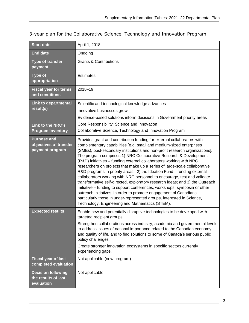| <b>Start date</b>                                               | April 1, 2018                                                                                                                                                                                                                                                                                                                                                                                                                                                                                                                                                                                                                                                                                                                                                                                                                                                                                                                                                                   |
|-----------------------------------------------------------------|---------------------------------------------------------------------------------------------------------------------------------------------------------------------------------------------------------------------------------------------------------------------------------------------------------------------------------------------------------------------------------------------------------------------------------------------------------------------------------------------------------------------------------------------------------------------------------------------------------------------------------------------------------------------------------------------------------------------------------------------------------------------------------------------------------------------------------------------------------------------------------------------------------------------------------------------------------------------------------|
| <b>End date</b>                                                 | Ongoing                                                                                                                                                                                                                                                                                                                                                                                                                                                                                                                                                                                                                                                                                                                                                                                                                                                                                                                                                                         |
| <b>Type of transfer</b><br>payment                              | <b>Grants &amp; Contributions</b>                                                                                                                                                                                                                                                                                                                                                                                                                                                                                                                                                                                                                                                                                                                                                                                                                                                                                                                                               |
| <b>Type of</b><br>appropriation                                 | <b>Estimates</b>                                                                                                                                                                                                                                                                                                                                                                                                                                                                                                                                                                                                                                                                                                                                                                                                                                                                                                                                                                |
| <b>Fiscal year for terms</b><br>and conditions                  | 2018-19                                                                                                                                                                                                                                                                                                                                                                                                                                                                                                                                                                                                                                                                                                                                                                                                                                                                                                                                                                         |
| <b>Link to departmental</b><br>result(s)                        | Scientific and technological knowledge advances<br>Innovative businesses grow<br>Evidence-based solutions inform decisions in Government priority areas                                                                                                                                                                                                                                                                                                                                                                                                                                                                                                                                                                                                                                                                                                                                                                                                                         |
| <b>Link to the NRC's</b><br><b>Program Inventory</b>            | Core Responsibility: Science and Innovation<br>Collaborative Science, Technology and Innovation Program                                                                                                                                                                                                                                                                                                                                                                                                                                                                                                                                                                                                                                                                                                                                                                                                                                                                         |
| <b>Purpose and</b><br>objectives of transfer<br>payment program | Provides grant and contribution funding for external collaborators with<br>complementary capabilities [e.g. small and medium-sized enterprises<br>(SMEs), post-secondary institutions and non-profit research organizations].<br>The program comprises 1) NRC Collaborative Research & Development<br>(R&D) initiatives - funding external collaborators working with NRC<br>researchers on projects that make up a series of large-scale collaborative<br>R&D programs in priority areas; 2) the Ideation Fund - funding external<br>collaborators working with NRC personnel to encourage, test and validate<br>transformative self-directed, exploratory research ideas; and 3) the Outreach<br>Initiative - funding to support conferences, workshops, symposia or other<br>outreach initiatives, in order to promote engagement of Canadians,<br>particularly those in under-represented groups, interested in Science,<br>Technology, Engineering and Mathematics (STEM). |
| <b>Expected results</b>                                         | Enable new and potentially disruptive technologies to be developed with<br>targeted recipient groups.<br>Strengthen collaborations across industry, academia and governmental levels<br>to address issues of national importance related to the Canadian economy<br>and quality of life, and to find solutions to some of Canada's serious public<br>policy challenges.<br>Create stronger innovation ecosystems in specific sectors currently<br>experiencing gaps.                                                                                                                                                                                                                                                                                                                                                                                                                                                                                                            |
| <b>Fiscal year of last</b><br>completed evaluation              | Not applicable (new program)                                                                                                                                                                                                                                                                                                                                                                                                                                                                                                                                                                                                                                                                                                                                                                                                                                                                                                                                                    |
| <b>Decision following</b><br>the results of last<br>evaluation  | Not applicable                                                                                                                                                                                                                                                                                                                                                                                                                                                                                                                                                                                                                                                                                                                                                                                                                                                                                                                                                                  |

<span id="page-4-0"></span>3-year plan for the Collaborative Science, Technology and Innovation Program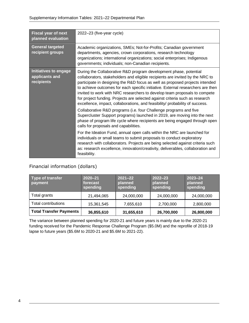| <b>Fiscal year of next</b><br>planned evaluation             | 2022-23 (five-year cycle)                                                                                                                                                                                                                                                                                                                                                                                                                                                                                                                                          |
|--------------------------------------------------------------|--------------------------------------------------------------------------------------------------------------------------------------------------------------------------------------------------------------------------------------------------------------------------------------------------------------------------------------------------------------------------------------------------------------------------------------------------------------------------------------------------------------------------------------------------------------------|
| <b>General targeted</b><br>recipient groups                  | Academic organizations, SMEs; Not-for-Profits; Canadian government<br>departments, agencies, crown corporations, research technology<br>organizations; international organizations; social enterprises; Indigenous<br>governments; individuals; non-Canadian recipients.                                                                                                                                                                                                                                                                                           |
| <b>Initiatives to engage</b><br>applicants and<br>recipients | During the Collaborative R&D program development phase, potential<br>collaborators, stakeholders and eligible recipients are invited by the NRC to<br>participate in designing the R&D focus as well as proposed projects intended<br>to achieve outcomes for each specific initiative. External researchers are then<br>invited to work with NRC researchers to develop team proposals to compete<br>for project funding. Projects are selected against criteria such as research<br>excellence, impact, collaborations, and feasibility/ probability of success. |
|                                                              | Collaborative R&D programs (i.e. four Challenge programs and five<br>Supercluster Support programs) launched in 2019, are moving into the next<br>phase of program life cycle where recipients are being engaged through open<br>calls for proposals and capabilities.                                                                                                                                                                                                                                                                                             |
|                                                              | For the Ideation Fund, annual open calls within the NRC are launched for<br>individuals or small teams to submit proposals to conduct exploratory<br>research with collaborators. Projects are being selected against criteria such<br>as: research excellence, innovation/creativity, deliverables, collaboration and<br>feasibility.                                                                                                                                                                                                                             |

| Type of transfer<br>payment    | $2020 - 21$<br>forecast<br>spending | $2021 - 22$<br>planned<br>spending | $2022 - 23$<br>planned<br>spending | $ 2023 - 24 $<br>planned<br>spending |
|--------------------------------|-------------------------------------|------------------------------------|------------------------------------|--------------------------------------|
| Total grants                   | 21,494,065                          | 24,000,000                         | 24,000,000                         | 24,000,000                           |
| <b>Total contributions</b>     | 15,361,545                          | 7,655,610                          | 2,700,000                          | 2,800,000                            |
| <b>Total Transfer Payments</b> | 36,855,610                          | 31,655,610                         | 26,700,000                         | 26,800,000                           |

The variance between planned spending for 2020-21 and future years is mainly due to the 2020-21 funding received for the Pandemic Response Challenge Program (\$5.0M) and the reprofile of 2018-19 lapse to future years (\$5.6M to 2020-21 and \$5.6M to 2021-22).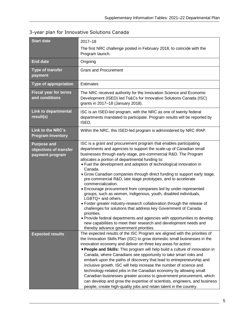| <b>Start date</b>                                               |                                                                                                                                                                                                                                                                                                                                                                                                                                                                                                                                                                                                                                                                                                                                                                                                                                                                                                                                                                                                                                     |  |
|-----------------------------------------------------------------|-------------------------------------------------------------------------------------------------------------------------------------------------------------------------------------------------------------------------------------------------------------------------------------------------------------------------------------------------------------------------------------------------------------------------------------------------------------------------------------------------------------------------------------------------------------------------------------------------------------------------------------------------------------------------------------------------------------------------------------------------------------------------------------------------------------------------------------------------------------------------------------------------------------------------------------------------------------------------------------------------------------------------------------|--|
|                                                                 | $2017 - 18$                                                                                                                                                                                                                                                                                                                                                                                                                                                                                                                                                                                                                                                                                                                                                                                                                                                                                                                                                                                                                         |  |
|                                                                 | The first NRC challenge posted in February 2018, to coincide with the<br>Program launch.                                                                                                                                                                                                                                                                                                                                                                                                                                                                                                                                                                                                                                                                                                                                                                                                                                                                                                                                            |  |
| <b>End date</b>                                                 | Ongoing                                                                                                                                                                                                                                                                                                                                                                                                                                                                                                                                                                                                                                                                                                                                                                                                                                                                                                                                                                                                                             |  |
| <b>Type of transfer</b><br>payment                              | <b>Grant and Procurement</b>                                                                                                                                                                                                                                                                                                                                                                                                                                                                                                                                                                                                                                                                                                                                                                                                                                                                                                                                                                                                        |  |
| <b>Type of appropriation</b>                                    | <b>Estimates</b>                                                                                                                                                                                                                                                                                                                                                                                                                                                                                                                                                                                                                                                                                                                                                                                                                                                                                                                                                                                                                    |  |
| <b>Fiscal year for terms</b><br>and conditions                  | The NRC received authority for the Innovation Science and Economic<br>Development (ISED) led Ts&Cs for Innovative Solutions Canada (ISC)<br>grants in 2017-18 (January 2018).                                                                                                                                                                                                                                                                                                                                                                                                                                                                                                                                                                                                                                                                                                                                                                                                                                                       |  |
| <b>Link to departmental</b><br>result(s)                        | ISC is an ISED-led program, with the NRC as one of twenty federal<br>departments mandated to participate. Program results will be reported by<br>ISED.                                                                                                                                                                                                                                                                                                                                                                                                                                                                                                                                                                                                                                                                                                                                                                                                                                                                              |  |
| <b>Link to the NRC's</b><br><b>Program Inventory</b>            | Within the NRC, this ISED-led program is administered by NRC IRAP.                                                                                                                                                                                                                                                                                                                                                                                                                                                                                                                                                                                                                                                                                                                                                                                                                                                                                                                                                                  |  |
| <b>Purpose and</b><br>objectives of transfer<br>payment program | ISC is a grant and procurement program that enables participating<br>departments and agencies to support the scale-up of Canadian small<br>businesses through early-stage, pre-commercial R&D. The Program<br>allocates a portion of departmental funding to:<br>• Fuel the development and adoption of technological innovation in<br>Canada.<br>• Grow Canadian companies through direct funding to support early stage,<br>pre-commercial R&D, late stage prototypes, and to accelerate<br>commercialization.<br>• Encourage procurement from companies led by under-represented<br>groups, such as women, Indigenous, youth, disabled individuals,<br>LGBTQ+ and others.<br>• Foster greater industry-research collaboration through the release of<br>challenges for solutions that address key Government of Canada<br>priorities.<br>• Provide federal departments and agencies with opportunities to develop<br>new capabilities to meet their research and development needs and<br>thereby advance government priorities. |  |
| <b>Expected results</b>                                         | The expected results of the ISC Program are aligned with the priorities of<br>the Innovation Skills Plan (ISC) to grow domestic small businesses in the<br>innovation economy and deliver on three key areas for action:<br>. People and Skills: This program will help build a culture of innovation in<br>Canada, where Canadians see opportunity to take smart risks and<br>embark upon the paths of discovery that lead to entrepreneurship and<br>inclusive growth. ISC will help increase the number of science and<br>technology-related jobs in the Canadian economy by allowing small<br>Canadian businesses greater access to government procurement, which<br>can develop and grow the expertise of scientists, engineers, and business<br>people, create high-quality jobs and retain talent in the country.                                                                                                                                                                                                            |  |

# <span id="page-6-0"></span>3-year plan for Innovative Solutions Canada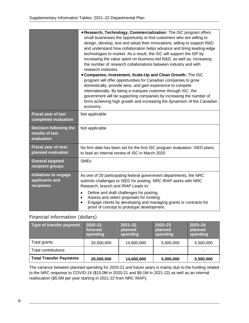|                                                                | . Research, Technology, Commercialization: The ISC program offers<br>small businesses the opportunity to find customers who are willing to<br>design, develop, test and adopt their innovations; willing to support R&D<br>and understand how collaboration helps advance and bring leading-edge<br>technologies to market. As a result, the ISC will support the ISP by<br>increasing the value spent on business-led R&D, as well as, increasing<br>the number of research collaborations between industry and with<br>research institutes.<br>. Companies, Investment, Scale-Up and Clean Growth: The ISC<br>program will offer opportunities for Canadian companies to grow<br>domestically, provide wins, and gain experience to compete<br>internationally. By being a marquee customer through ISC, the<br>government will be supporting companies by increasing the number of<br>firms achieving high growth and increasing the dynamism of the Canadian<br>economy. |
|----------------------------------------------------------------|------------------------------------------------------------------------------------------------------------------------------------------------------------------------------------------------------------------------------------------------------------------------------------------------------------------------------------------------------------------------------------------------------------------------------------------------------------------------------------------------------------------------------------------------------------------------------------------------------------------------------------------------------------------------------------------------------------------------------------------------------------------------------------------------------------------------------------------------------------------------------------------------------------------------------------------------------------------------------|
| <b>Fiscal year of last</b><br>completed evaluation             | Not applicable                                                                                                                                                                                                                                                                                                                                                                                                                                                                                                                                                                                                                                                                                                                                                                                                                                                                                                                                                               |
| <b>Decision following the</b><br>results of last<br>evaluation | Not applicable                                                                                                                                                                                                                                                                                                                                                                                                                                                                                                                                                                                                                                                                                                                                                                                                                                                                                                                                                               |
| <b>Fiscal year of next</b><br>planned evaluation               | No firm date has been set for the first ISC program evaluation. ISED plans<br>to lead an internal review of ISC in March 2020.                                                                                                                                                                                                                                                                                                                                                                                                                                                                                                                                                                                                                                                                                                                                                                                                                                               |
| <b>General targeted</b><br>recipient groups                    | <b>SMEs</b>                                                                                                                                                                                                                                                                                                                                                                                                                                                                                                                                                                                                                                                                                                                                                                                                                                                                                                                                                                  |
| <b>Initiatives to engage</b><br>applicants and<br>recipients   | As one of 20 participating federal government departments, the NRC<br>submits challenges to ISED for posting. NRC IRAP works with NRC<br>Research, branch and IRAP Leads to:<br>Define and draft challenges for posting.<br>$\bullet$<br>Assess and select proposals for funding.<br>$\bullet$<br>Engage clients by developing and managing grants or contracts for<br>$\bullet$<br>proof of concept to prototype development.                                                                                                                                                                                                                                                                                                                                                                                                                                                                                                                                               |

| Type of transfer payment       | $2020 - 21$<br>forecast<br>spending | $2021 - 22$<br>planned<br>spending | $2022 - 23$<br>planned<br>spending | $2023 - 24$<br>planned<br>spending |
|--------------------------------|-------------------------------------|------------------------------------|------------------------------------|------------------------------------|
| Total grants                   | 20,500,000                          | 14,600,000                         | 5,500,000                          | 5,500,000                          |
| Total contributions            | ۰                                   |                                    | -                                  | ۰                                  |
| <b>Total Transfer Payments</b> | 20,500,000                          | 14,600,000                         | 5,500,000                          | 5,500,000                          |

The variance between planned spending for 2020-21 and future years is mainly due to the funding related to the NRC response to COVID-19 (\$15.0M in 2020-21 and \$9.1M in 2021-22) as well as an internal reallocation (\$5.5M per year starting in 2021-22 from NRC IRAP).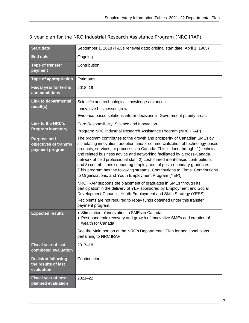| <b>Start date</b>                                               | September 1, 2018 (T&Cs renewal date; original start date: April 1, 1965)                                                                                                                                                                                                                                                                                                                                                                                                                                                                                                                                                        |
|-----------------------------------------------------------------|----------------------------------------------------------------------------------------------------------------------------------------------------------------------------------------------------------------------------------------------------------------------------------------------------------------------------------------------------------------------------------------------------------------------------------------------------------------------------------------------------------------------------------------------------------------------------------------------------------------------------------|
| <b>End date</b>                                                 | Ongoing                                                                                                                                                                                                                                                                                                                                                                                                                                                                                                                                                                                                                          |
| <b>Type of transfer</b><br>payment                              | Contribution                                                                                                                                                                                                                                                                                                                                                                                                                                                                                                                                                                                                                     |
| <b>Type of appropriation</b>                                    | <b>Estimates</b>                                                                                                                                                                                                                                                                                                                                                                                                                                                                                                                                                                                                                 |
| <b>Fiscal year for terms</b><br>and conditions                  | 2018-19                                                                                                                                                                                                                                                                                                                                                                                                                                                                                                                                                                                                                          |
| Link to departmental                                            | Scientific and technological knowledge advances                                                                                                                                                                                                                                                                                                                                                                                                                                                                                                                                                                                  |
| result(s)                                                       | Innovative businesses grow                                                                                                                                                                                                                                                                                                                                                                                                                                                                                                                                                                                                       |
|                                                                 | Evidence-based solutions inform decisions in Government priority areas                                                                                                                                                                                                                                                                                                                                                                                                                                                                                                                                                           |
| Link to the NRC's                                               | Core Responsibility: Science and Innovation                                                                                                                                                                                                                                                                                                                                                                                                                                                                                                                                                                                      |
| <b>Program Inventory</b>                                        | Program: NRC Industrial Research Assistance Program (NRC IRAP)                                                                                                                                                                                                                                                                                                                                                                                                                                                                                                                                                                   |
| <b>Purpose and</b><br>objectives of transfer<br>payment program | The program contributes to the growth and prosperity of Canadian SMEs by<br>stimulating innovation, adoption and/or commercialization of technology-based<br>products, services, or processes in Canada. This is done through: 1) technical<br>and related business advice and networking facilitated by a cross-Canada<br>network of field professional staff; 2) cost-shared merit-based contributions;<br>and 3) contributions supporting employment of post-secondary graduates.<br>[This program has the following streams: Contributions to Firms; Contributions<br>to Organizations; and Youth Employment Program (YEP)]. |
|                                                                 | NRC IRAP supports the placement of graduates in SMEs through its<br>participation in the delivery of YEP sponsored by Employment and Social<br>Development Canada's Youth Employment and Skills Strategy (YESS).<br>Recipients are not required to repay funds obtained under this transfer<br>payment program.                                                                                                                                                                                                                                                                                                                  |
| <b>Expected results</b>                                         | • Stimulation of innovation in SMEs in Canada.<br>• Post pandemic recovery and growth of innovative SMEs and creation of<br>wealth for Canada<br>See the Main portion of the NRC's Departmental Plan for additional plans<br>pertaining to NRC IRAP.                                                                                                                                                                                                                                                                                                                                                                             |
| <b>Fiscal year of last</b><br>completed evaluation              | $2017 - 18$                                                                                                                                                                                                                                                                                                                                                                                                                                                                                                                                                                                                                      |
| <b>Decision following</b><br>the results of last<br>evaluation  | Continuation                                                                                                                                                                                                                                                                                                                                                                                                                                                                                                                                                                                                                     |
| <b>Fiscal year of next</b><br>planned evaluation                | $2021 - 22$                                                                                                                                                                                                                                                                                                                                                                                                                                                                                                                                                                                                                      |

<span id="page-8-0"></span>3-year plan for the NRC Industrial Research Assistance Program (NRC IRAP)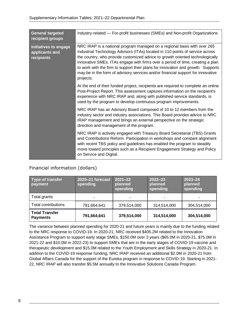| <b>General targeted</b><br>recipient groups           | Industry-related — For-profit businesses (SMEs) and Non-profit Organizations                                                                                                                                                                                                                                                                                                                                                                                                                                     |
|-------------------------------------------------------|------------------------------------------------------------------------------------------------------------------------------------------------------------------------------------------------------------------------------------------------------------------------------------------------------------------------------------------------------------------------------------------------------------------------------------------------------------------------------------------------------------------|
| Initiatives to engage<br>applicants and<br>recipients | NRC IRAP is a national program managed on a regional basis with over 265<br>Industrial Technology Advisors (ITAs) located in 110 points of service across<br>the country, who provide customized advice to growth oriented technologically<br>innovative SMEs. ITAs engage with firms over a period of time, creating a plan<br>to work with the firm to support their plans for innovation and growth. Supports<br>may be in the form of advisory services and/or financial support for innovative<br>projects. |
|                                                       | At the end of their funded project, recipients are required to complete an online<br>Post-Project Report. This assessment captures information on the recipient's<br>experience with NRC IRAP and, along with published service standards, is<br>used by the program to develop continuous program improvements.                                                                                                                                                                                                 |
|                                                       | NRC IRAP has an Advisory Board composed of 10 to 12 members from the<br>industry sector and industry associations. This Board provides advice to NRC<br>IRAP management and brings an external perspective on the strategic<br>direction and management of the program.                                                                                                                                                                                                                                          |
|                                                       | NRC IRAP is actively engaged with Treasury Board Secretariat (TBS) Grants<br>and Contributions Reform. Participation in workshops and constant alignment<br>with recent TBS policy and guidelines has enabled the program to steadily<br>move toward principles such as a Recipient Engagement Strategy and Policy<br>on Service and Digital.                                                                                                                                                                    |

| Type of transfer<br>payment              | 2020-21 forecast<br>spending | $2021 - 22$<br>planned<br>spending | $2022 - 23$<br>planned<br>spending | $2023 - 24$<br>planned<br>spending |
|------------------------------------------|------------------------------|------------------------------------|------------------------------------|------------------------------------|
| Total grants                             |                              | -                                  |                                    |                                    |
| <b>Total contributions</b>               | 791,664,641                  | 379,514,000                        | 314,514,000                        | 304,514,000                        |
| <b>Total Transfer</b><br><b>Payments</b> | 791,664,641                  | 379,514,000                        | 314,514,000                        | 304,514,000                        |

The variance between planned spending for 2020-21 and future years is mainly due to the funding related to the NRC response to COVID-19. In 2020-21, NRC received \$405.2M related to the Innovation Assistance Program to support early stage SMEs, \$150.0M over 3 years (\$65.0M in 2020-21, \$75.0M in 2021-22 and \$10.0M in 2022-23) to support SMEs that are in the early stages of COVID-19 vaccine and therapeutic development and \$15.0M related to the Youth Employment and Skills Strategy in 2020-21. In addition to the COVID-19 response funding, NRC IRAP received an additional \$2.0M in 2020-21 from Global Affairs Canada for the support of the Eureka program in response to COVID-19. Starting in 2021- 22, NRC IRAP will also transfer \$5.5M annually to the Innovative Solutions Canada Program.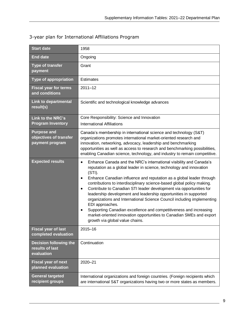| <b>Start date</b>                                               | 1958                                                                                                                                                                                                                                                                                                                                                                                                                                                                                                                                                                                                                                                                                                                                                                      |
|-----------------------------------------------------------------|---------------------------------------------------------------------------------------------------------------------------------------------------------------------------------------------------------------------------------------------------------------------------------------------------------------------------------------------------------------------------------------------------------------------------------------------------------------------------------------------------------------------------------------------------------------------------------------------------------------------------------------------------------------------------------------------------------------------------------------------------------------------------|
| <b>End date</b>                                                 | Ongoing                                                                                                                                                                                                                                                                                                                                                                                                                                                                                                                                                                                                                                                                                                                                                                   |
| <b>Type of transfer</b><br>payment                              | Grant                                                                                                                                                                                                                                                                                                                                                                                                                                                                                                                                                                                                                                                                                                                                                                     |
| <b>Type of appropriation</b>                                    | <b>Estimates</b>                                                                                                                                                                                                                                                                                                                                                                                                                                                                                                                                                                                                                                                                                                                                                          |
| <b>Fiscal year for terms</b><br>and conditions                  | $2011 - 12$                                                                                                                                                                                                                                                                                                                                                                                                                                                                                                                                                                                                                                                                                                                                                               |
| Link to departmental<br>result(s)                               | Scientific and technological knowledge advances                                                                                                                                                                                                                                                                                                                                                                                                                                                                                                                                                                                                                                                                                                                           |
| <b>Link to the NRC's</b><br><b>Program Inventory</b>            | Core Responsibility: Science and Innovation<br><b>International Affiliations</b>                                                                                                                                                                                                                                                                                                                                                                                                                                                                                                                                                                                                                                                                                          |
| <b>Purpose and</b><br>objectives of transfer<br>payment program | Canada's membership in international science and technology (S&T)<br>organizations promotes international market-oriented research and<br>innovation, networking, advocacy, leadership and benchmarking<br>opportunities as well as access to research and benchmarking possibilities,<br>enabling Canadian science, technology, and industry to remain competitive.                                                                                                                                                                                                                                                                                                                                                                                                      |
| <b>Expected results</b>                                         | Enhance Canada and the NRC's international visibility and Canada's<br>$\bullet$<br>reputation as a global leader in science, technology and innovation<br>(STI).<br>Enhance Canadian influence and reputation as a global leader through<br>٠<br>contributions to interdisciplinary science-based global policy making.<br>Contribute to Canadian STI leader development via opportunities for<br>$\bullet$<br>leadership development and leadership opportunities in supported<br>organizations and International Science Council including implementing<br>EDI approaches.<br>Supporting Canadian excellence and competitiveness and increasing<br>$\bullet$<br>market-oriented innovation opportunities to Canadian SMEs and export<br>growth via global value chains. |
| <b>Fiscal year of last</b><br>completed evaluation              | 2015-16                                                                                                                                                                                                                                                                                                                                                                                                                                                                                                                                                                                                                                                                                                                                                                   |
| <b>Decision following the</b><br>results of last<br>evaluation  | Continuation                                                                                                                                                                                                                                                                                                                                                                                                                                                                                                                                                                                                                                                                                                                                                              |
| <b>Fiscal year of next</b><br>planned evaluation                | 2020-21                                                                                                                                                                                                                                                                                                                                                                                                                                                                                                                                                                                                                                                                                                                                                                   |
| <b>General targeted</b><br>recipient groups                     | International organizations and foreign countries. (Foreign recipients which<br>are international S&T organizations having two or more states as members.                                                                                                                                                                                                                                                                                                                                                                                                                                                                                                                                                                                                                 |

## <span id="page-10-0"></span>3-year plan for International Affiliations Program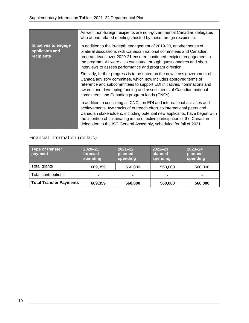|                                                       | As well, non-foreign recipients are non-governmental Canadian delegates<br>who attend related meetings hosted by these foreign recipients).                                                                                                                                                                                                                                               |
|-------------------------------------------------------|-------------------------------------------------------------------------------------------------------------------------------------------------------------------------------------------------------------------------------------------------------------------------------------------------------------------------------------------------------------------------------------------|
| Initiatives to engage<br>applicants and<br>recipients | In addition to the in-depth engagement of 2019-20, another series of<br>bilateral discussions with Canadian national committees and Canadian<br>program leads over 2020-21 ensured continued recipient engagement in<br>the program. All were also evaluated through questionnaires and short<br>interviews to assess performance and program direction.                                  |
|                                                       | Similarly, further progress is to be noted on the new cross government of<br>Canada advisory committee, which now includes approved terms of<br>reference and subcommittees to support EDI initiatives, nominations and<br>awards and developing funding and assessments of Canadian national<br>committees and Canadian program leads (CNCs).                                            |
|                                                       | In addition to consulting all CNCs on EDI and international activities and<br>achievements, two tracks of outreach effort, to international peers and<br>Canadian stakeholders, including potential new applicants, have begun with<br>the intention of culminating in the effective participation of the Canadian<br>delegation to the ISC General Assembly, scheduled for fall of 2021. |

| Type of transfer<br>payment    | $2020 - 21$<br>forecast<br>spending | $2021 - 22$<br>planned<br>spending | $2022 - 23$<br>planned<br>spending | $2023 - 24$<br>planned<br>spending |
|--------------------------------|-------------------------------------|------------------------------------|------------------------------------|------------------------------------|
| Total grants                   | 609,359                             | 560,000                            | 560,000                            | 560,000                            |
| <b>Total contributions</b>     | -                                   |                                    | ۰                                  |                                    |
| <b>Total Transfer Payments</b> | 609,359                             | 560,000                            | 560,000                            | 560,000                            |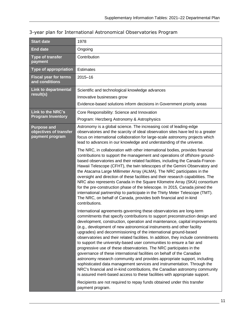| <b>Start date</b>                                               | 1978                                                                                                                                                                                                                                                                                                                                                                                                                                                                                                                                                                                                                                                                                                                                                                                                                                                                                                                                                                                                                                                                                          |
|-----------------------------------------------------------------|-----------------------------------------------------------------------------------------------------------------------------------------------------------------------------------------------------------------------------------------------------------------------------------------------------------------------------------------------------------------------------------------------------------------------------------------------------------------------------------------------------------------------------------------------------------------------------------------------------------------------------------------------------------------------------------------------------------------------------------------------------------------------------------------------------------------------------------------------------------------------------------------------------------------------------------------------------------------------------------------------------------------------------------------------------------------------------------------------|
| <b>End date</b>                                                 | Ongoing                                                                                                                                                                                                                                                                                                                                                                                                                                                                                                                                                                                                                                                                                                                                                                                                                                                                                                                                                                                                                                                                                       |
| <b>Type of transfer</b><br>payment                              | Contribution                                                                                                                                                                                                                                                                                                                                                                                                                                                                                                                                                                                                                                                                                                                                                                                                                                                                                                                                                                                                                                                                                  |
| <b>Type of appropriation</b>                                    | <b>Estimates</b>                                                                                                                                                                                                                                                                                                                                                                                                                                                                                                                                                                                                                                                                                                                                                                                                                                                                                                                                                                                                                                                                              |
| <b>Fiscal year for terms</b><br>and conditions                  | $2015 - 16$                                                                                                                                                                                                                                                                                                                                                                                                                                                                                                                                                                                                                                                                                                                                                                                                                                                                                                                                                                                                                                                                                   |
| <b>Link to departmental</b>                                     | Scientific and technological knowledge advances                                                                                                                                                                                                                                                                                                                                                                                                                                                                                                                                                                                                                                                                                                                                                                                                                                                                                                                                                                                                                                               |
| result(s)                                                       | Innovative businesses grow                                                                                                                                                                                                                                                                                                                                                                                                                                                                                                                                                                                                                                                                                                                                                                                                                                                                                                                                                                                                                                                                    |
|                                                                 | Evidence-based solutions inform decisions in Government priority areas                                                                                                                                                                                                                                                                                                                                                                                                                                                                                                                                                                                                                                                                                                                                                                                                                                                                                                                                                                                                                        |
| <b>Link to the NRC's</b>                                        | Core Responsibility: Science and Innovation                                                                                                                                                                                                                                                                                                                                                                                                                                                                                                                                                                                                                                                                                                                                                                                                                                                                                                                                                                                                                                                   |
| <b>Program Inventory</b>                                        | Program: Herzberg Astronomy & Astrophysics                                                                                                                                                                                                                                                                                                                                                                                                                                                                                                                                                                                                                                                                                                                                                                                                                                                                                                                                                                                                                                                    |
| <b>Purpose and</b><br>objectives of transfer<br>payment program | Astronomy is a global science. The increasing cost of leading-edge<br>observatories and the scarcity of ideal observation sites have led to a greater<br>focus on international collaboration for large-scale astronomy projects which<br>lead to advances in our knowledge and understanding of the universe.                                                                                                                                                                                                                                                                                                                                                                                                                                                                                                                                                                                                                                                                                                                                                                                |
|                                                                 | The NRC, in collaboration with other international bodies, provides financial<br>contributions to support the management and operations of offshore ground-<br>based observatories and their related facilities, including the Canada-France-<br>Hawaii Telescope (CFHT), the twin telescopes of the Gemini Observatory and<br>the Atacama Large Millimeter Array (ALMA). The NRC participates in the<br>oversight and direction of these facilities and their research capabilities. The<br>NRC also represents Canada in the Square Kilometre Array (SKA) consortium<br>for the pre-construction phase of the telescope. In 2015, Canada joined the<br>international partnership to participate in the Thirty Meter Telescope (TMT).<br>The NRC, on behalf of Canada, provides both financial and in-kind<br>contributions.                                                                                                                                                                                                                                                                 |
|                                                                 | International agreements governing these observatories are long-term<br>commitments that specify contributions to support preconstruction design and<br>development, construction, operation and maintenance, capital improvements<br>(e.g., development of new astronomical instruments and other facility<br>upgrades) and decommissioning of the international ground-based<br>observatories and their related facilities. In addition, they include commitments<br>to support the university-based user communities to ensure a fair and<br>progressive use of these observatories. The NRC participates in the<br>governance of these international facilities on behalf of the Canadian<br>astronomy research community and provides appropriate support, including<br>sophisticated data management services and instrumentation. Through the<br>NRC's financial and in-kind contributions, the Canadian astronomy community<br>is assured merit-based access to these facilities with appropriate support.<br>Recipients are not required to repay funds obtained under this transfer |
|                                                                 | payment program.                                                                                                                                                                                                                                                                                                                                                                                                                                                                                                                                                                                                                                                                                                                                                                                                                                                                                                                                                                                                                                                                              |

<span id="page-12-0"></span>3-year plan for International Astronomical Observatories Program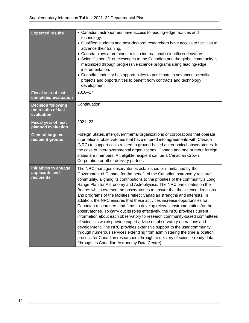| <b>Expected results</b>                                        | • Canadian astronomers have access to leading-edge facilities and<br>technology.<br>• Qualified students and post-doctoral researchers have access to facilities to<br>advance their training.<br>• Canada plays a prominent role in international scientific endeavours.<br>• Scientific benefit of telescopes to the Canadian and the global community is<br>maximized through progressive science programs using leading-edge<br>instrumentation.<br>• Canadian industry has opportunities to participate in advanced scientific<br>projects and opportunities to benefit from contracts and technology<br>development.                                                                                                                                                                                                                                                                                                                                                                                                                                                                                                                                     |
|----------------------------------------------------------------|----------------------------------------------------------------------------------------------------------------------------------------------------------------------------------------------------------------------------------------------------------------------------------------------------------------------------------------------------------------------------------------------------------------------------------------------------------------------------------------------------------------------------------------------------------------------------------------------------------------------------------------------------------------------------------------------------------------------------------------------------------------------------------------------------------------------------------------------------------------------------------------------------------------------------------------------------------------------------------------------------------------------------------------------------------------------------------------------------------------------------------------------------------------|
| <b>Fiscal year of last</b><br>completed evaluation             | $2016 - 17$                                                                                                                                                                                                                                                                                                                                                                                                                                                                                                                                                                                                                                                                                                                                                                                                                                                                                                                                                                                                                                                                                                                                                    |
| <b>Decision following</b><br>the results of last<br>evaluation | Continuation                                                                                                                                                                                                                                                                                                                                                                                                                                                                                                                                                                                                                                                                                                                                                                                                                                                                                                                                                                                                                                                                                                                                                   |
| <b>Fiscal year of next</b><br>planned evaluation               | $2021 - 22$                                                                                                                                                                                                                                                                                                                                                                                                                                                                                                                                                                                                                                                                                                                                                                                                                                                                                                                                                                                                                                                                                                                                                    |
| <b>General targeted</b><br>recipient groups                    | Foreign States, intergovernmental organizations or corporations that operate<br>international observatories that have entered into agreements with Canada<br>(NRC) to support costs related to ground-based astronomical observatories. In<br>the case of intergovernmental organizations, Canada and one or more foreign<br>states are members. An eligible recipient can be a Canadian Crown<br>Corporation or other delivery partner.                                                                                                                                                                                                                                                                                                                                                                                                                                                                                                                                                                                                                                                                                                                       |
| <b>Initiatives to engage</b><br>applicants and<br>recipients   | The NRC manages observatories established or maintained by the<br>Government of Canada for the benefit of the Canadian astronomy research<br>community, aligning its contributions to the priorities of the community's Long<br>Range Plan for Astronomy and Astrophysics. The NRC participates on the<br>Boards which oversee the observatories to ensure that the science directions<br>and programs of the facilities reflect Canadian strengths and interests. In<br>addition, the NRC ensures that these activities increase opportunities for<br>Canadian researchers and firms to develop relevant instrumentation for the<br>observatories. To carry out its roles effectively, the NRC provides current<br>information about each observatory to research community-based committees<br>of scientists which provide expert advice on observatory operations and<br>development. The NRC provides extensive support to the user community<br>through numerous services extending from administering the time allocation<br>process for Canadian researchers through to delivery of science-ready data<br>(through its Canadian Astronomy Data Centre). |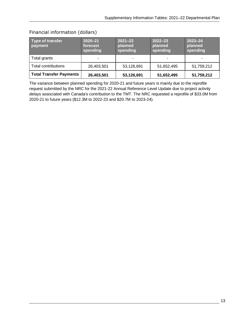| Type of transfer<br>payment    | $2020 - 21$<br>forecast<br>spending | $2021 - 22$<br>planned<br>spending | $2022 - 23$<br>planned<br>spending | $2023 - 24$<br>planned<br>spending |
|--------------------------------|-------------------------------------|------------------------------------|------------------------------------|------------------------------------|
| Total grants                   |                                     |                                    |                                    |                                    |
| Total contributions            | 26,403,501                          | 53,126,691                         | 51,652,495                         | 51,759,212                         |
| <b>Total Transfer Payments</b> | 26,403,501                          | 53,126,691                         | 51,652,495                         | 51,759,212                         |

The variance between planned spending for 2020-21 and future years is mainly due to the reprofile request submitted by the NRC for the 2021-22 Annual Reference Level Update due to project activity delays associated with Canada's contribution to the TMT. The NRC requested a reprofile of \$33.0M from 2020-21 to future years (\$12.3M to 2022-23 and \$20.7M to 2023-24).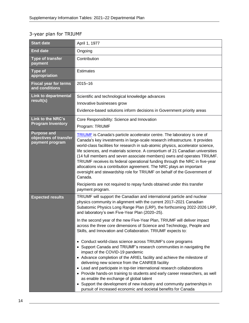## <span id="page-15-0"></span>3-year plan for TRIUMF

| <b>Start date</b>                                               | April 1, 1977                                                                                                                                                                                                                                                                                                                                                                                                                                                                                                                                                                                                                                                                                                                                                                                                                                                                                                                                                                                                                                                                                                                                                 |
|-----------------------------------------------------------------|---------------------------------------------------------------------------------------------------------------------------------------------------------------------------------------------------------------------------------------------------------------------------------------------------------------------------------------------------------------------------------------------------------------------------------------------------------------------------------------------------------------------------------------------------------------------------------------------------------------------------------------------------------------------------------------------------------------------------------------------------------------------------------------------------------------------------------------------------------------------------------------------------------------------------------------------------------------------------------------------------------------------------------------------------------------------------------------------------------------------------------------------------------------|
| <b>End date</b>                                                 | Ongoing                                                                                                                                                                                                                                                                                                                                                                                                                                                                                                                                                                                                                                                                                                                                                                                                                                                                                                                                                                                                                                                                                                                                                       |
| <b>Type of transfer</b><br>payment                              | Contribution                                                                                                                                                                                                                                                                                                                                                                                                                                                                                                                                                                                                                                                                                                                                                                                                                                                                                                                                                                                                                                                                                                                                                  |
| <b>Type of</b><br>appropriation                                 | <b>Estimates</b>                                                                                                                                                                                                                                                                                                                                                                                                                                                                                                                                                                                                                                                                                                                                                                                                                                                                                                                                                                                                                                                                                                                                              |
| <b>Fiscal year for terms</b><br>and conditions                  | 2015-16                                                                                                                                                                                                                                                                                                                                                                                                                                                                                                                                                                                                                                                                                                                                                                                                                                                                                                                                                                                                                                                                                                                                                       |
| <b>Link to departmental</b><br>result(s)                        | Scientific and technological knowledge advances<br>Innovative businesses grow<br>Evidence-based solutions inform decisions in Government priority areas                                                                                                                                                                                                                                                                                                                                                                                                                                                                                                                                                                                                                                                                                                                                                                                                                                                                                                                                                                                                       |
| <b>Link to the NRC's</b><br><b>Program Inventory</b>            | Core Responsibility: Science and Innovation<br>Program: TRIUMF                                                                                                                                                                                                                                                                                                                                                                                                                                                                                                                                                                                                                                                                                                                                                                                                                                                                                                                                                                                                                                                                                                |
| <b>Purpose and</b><br>objectives of transfer<br>payment program | <b>TRIUME</b> is Canada's particle accelerator centre. The laboratory is one of<br>Canada's key investments in large-scale research infrastructure. It provides<br>world-class facilities for research in sub-atomic physics, accelerator science,<br>life sciences, and materials science. A consortium of 21 Canadian universities<br>(14 full members and seven associate members) owns and operates TRIUMF.<br>TRIUMF receives its federal operational funding through the NRC in five-year<br>allocations via a contribution agreement. The NRC plays an important<br>oversight and stewardship role for TRIUMF on behalf of the Government of<br>Canada.<br>Recipients are not required to repay funds obtained under this transfer                                                                                                                                                                                                                                                                                                                                                                                                                     |
|                                                                 | payment program.                                                                                                                                                                                                                                                                                                                                                                                                                                                                                                                                                                                                                                                                                                                                                                                                                                                                                                                                                                                                                                                                                                                                              |
| <b>Expected results</b>                                         | TRIUMF will support the Canadian and international particle and nuclear<br>physics community in alignment with the current 2017-2021 Canadian<br>Subatomic Physics Long Range Plan (LRP), the forthcoming 2022-2026 LRP,<br>and laboratory's own Five-Year Plan (2020-25).<br>In the second year of the new Five-Year Plan, TRIUMF will deliver impact<br>across the three core dimensions of Science and Technology, People and<br>Skills, and Innovation and Collaboration. TRIUMF expects to:<br>• Conduct world-class science across TRIUMF's core programs<br>• Support Canada and TRIUMF's research communities in navigating the<br>impact of the COVID-19 pandemic<br>• Advance completion of the ARIEL facility and achieve the milestone of<br>delivering new science from the CANREB facility<br>• Lead and participate in top-tier international research collaborations<br>• Provide hands-on training to students and early career researchers, as well<br>as enable the exchange of global talent<br>• Support the development of new industry and community partnerships in<br>pursuit of increased economic and societal benefits for Canada |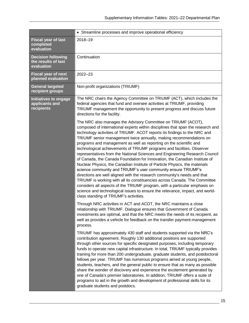|                                                                | • Streamline processes and improve operational efficiency                                                                                                                                                                                                                                                                                                                                                                                                                                                                                                                                                                                                                                                                                                                                                                                                                                                                                                                                                                                                                                                                         |
|----------------------------------------------------------------|-----------------------------------------------------------------------------------------------------------------------------------------------------------------------------------------------------------------------------------------------------------------------------------------------------------------------------------------------------------------------------------------------------------------------------------------------------------------------------------------------------------------------------------------------------------------------------------------------------------------------------------------------------------------------------------------------------------------------------------------------------------------------------------------------------------------------------------------------------------------------------------------------------------------------------------------------------------------------------------------------------------------------------------------------------------------------------------------------------------------------------------|
| <b>Fiscal year of last</b><br>completed<br>evaluation          | 2018-19                                                                                                                                                                                                                                                                                                                                                                                                                                                                                                                                                                                                                                                                                                                                                                                                                                                                                                                                                                                                                                                                                                                           |
| <b>Decision following</b><br>the results of last<br>evaluation | Continuation                                                                                                                                                                                                                                                                                                                                                                                                                                                                                                                                                                                                                                                                                                                                                                                                                                                                                                                                                                                                                                                                                                                      |
| <b>Fiscal year of next</b><br>planned evaluation               | $2022 - 23$                                                                                                                                                                                                                                                                                                                                                                                                                                                                                                                                                                                                                                                                                                                                                                                                                                                                                                                                                                                                                                                                                                                       |
| <b>General targeted</b><br>recipient groups                    | Non-profit organizations (TRIUMF)                                                                                                                                                                                                                                                                                                                                                                                                                                                                                                                                                                                                                                                                                                                                                                                                                                                                                                                                                                                                                                                                                                 |
| Initiatives to engage<br>applicants and<br>recipients          | The NRC chairs the Agency Committee on TRIUMF (ACT), which includes the<br>federal agencies that fund and oversee activities at TRIUMF, providing<br>TRIUMF management the opportunity to present progress and discuss future<br>directions for the facility.                                                                                                                                                                                                                                                                                                                                                                                                                                                                                                                                                                                                                                                                                                                                                                                                                                                                     |
|                                                                | The NRC also manages the Advisory Committee on TRIUMF (ACOT),<br>composed of international experts within disciplines that span the research and<br>technology activities of TRIUMF. ACOT reports its findings to the NRC and<br>TRIUMF senior management twice annually, making recommendations on<br>programs and management as well as reporting on the scientific and<br>technological achievements of TRIUMF programs and facilities. Observer<br>representatives from the National Sciences and Engineering Research Council<br>of Canada, the Canada Foundation for Innovation, the Canadian Institute of<br>Nuclear Physics, the Canadian Institute of Particle Physics, the materials<br>science community and TRIUMF's user community ensure TRIUMF's<br>directions are well aligned with the research community's needs and that<br>TRIUMF is working with all its constituencies across Canada. The Committee<br>considers all aspects of the TRIUMF program, with a particular emphasis on<br>science and technological issues to ensure the relevance, impact, and world-<br>class standing of TRIUMF's activities. |
|                                                                | Through NRC activities in ACT and ACOT, the NRC maintains a close<br>relationship with TRIUMF. Dialogue ensures that Government of Canada<br>investments are optimal, and that the NRC meets the needs of its recipient, as<br>well as provides a vehicle for feedback on the transfer payment management<br>process.                                                                                                                                                                                                                                                                                                                                                                                                                                                                                                                                                                                                                                                                                                                                                                                                             |
|                                                                | TRIUMF has approximately 430 staff and students supported via the NRC's<br>contribution agreement. Roughly 130 additional positions are supported<br>through other sources for specific designated purposes, including temporary<br>funds to operate new capital infrastructure. In total, TRIUMF typically provides<br>training for more than 200 undergraduate, graduate students, and postdoctoral<br>fellows per year. TRIUMF has numerous programs aimed at young people,<br>students, teachers, and the general public to ensure that as many as possible<br>share the wonder of discovery and experience the excitement generated by<br>one of Canada's premier laboratories. In addition, TRIUMF offers a suite of<br>programs to aid in the growth and development of professional skills for its<br>graduate students and postdocs.                                                                                                                                                                                                                                                                                     |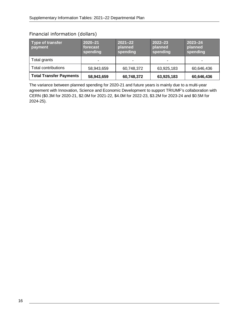| Type of transfer<br>payment    | $2020 - 21$<br>forecast<br>spending | $2021 - 22$<br>planned<br>spending | $2022 - 23$<br>planned<br>spending | $2023 - 24$<br>planned<br>spending |
|--------------------------------|-------------------------------------|------------------------------------|------------------------------------|------------------------------------|
| Total grants                   |                                     |                                    | ۰                                  |                                    |
| Total contributions            | 58,943,659                          | 60,748,372                         | 63,925,183                         | 60,646,436                         |
| <b>Total Transfer Payments</b> | 58,943,659                          | 60,748,372                         | 63,925,183                         | 60,646,436                         |

The variance between planned spending for 2020-21 and future years is mainly due to a multi-year agreement with Innovation, Science and Economic Development to support TRIUMF's collaboration with CERN (\$0.3M for 2020-21, \$2.0M for 2021-22, \$4.0M for 2022-23, \$3.2M for 2023-24 and \$0.5M for 2024-25).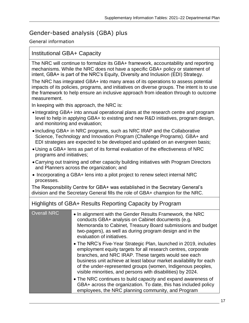# <span id="page-18-0"></span>Gender-based analysis (GBA) plus

General information

## Institutional GBA+ Capacity

The NRC will continue to formalize its GBA+ framework, accountability and reporting mechanisms. While the NRC does not have a specific GBA+ policy or statement of intent, GBA+ is part of the NRC's Equity, Diversity and Inclusion (EDI) Strategy.

The NRC has integrated GBA+ into many areas of its operations to assess potential impacts of its policies, programs, and initiatives on diverse groups. The intent is to use the framework to help ensure an inclusive approach from ideation through to outcome measurement.

In keeping with this approach, the NRC is:

- Integrating GBA+ into annual operational plans at the research centre and program level to help in applying GBA+ to existing and new R&D initiatives, program design, and monitoring and evaluation;
- Including GBA+ in NRC programs, such as NRC IRAP and the Collaborative Science, Technology and Innovation Program (Challenge Programs). GBA+ and EDI strategies are expected to be developed and updated on an evergreen basis;
- Using a GBA+ lens as part of its formal evaluation of the effectiveness of NRC programs and initiatives;
- Carrying out training and other capacity building initiatives with Program Directors and Planners across the organization; and
- Incorporating a GBA+ lens into a pilot project to renew select internal NRC processes.

The Responsibility Centre for GBA+ was established in the Secretary General's division and the Secretary General fills the role of GBA+ champion for the NRC.

Highlights of GBA+ Results Reporting Capacity by Program

| <b>Overall NRC</b> | • In alignment with the Gender Results Framework, the NRC<br>conducts GBA+ analysis on Cabinet documents (e.g.<br>Memoranda to Cabinet, Treasury Board submissions and budget<br>two-pagers), as well as during program design and in the<br>evaluation of initiatives.                                                                                                                       |
|--------------------|-----------------------------------------------------------------------------------------------------------------------------------------------------------------------------------------------------------------------------------------------------------------------------------------------------------------------------------------------------------------------------------------------|
|                    | • The NRC's Five-Year Strategic Plan, launched in 2019, includes<br>employment equity targets for all research centres, corporate<br>branches, and NRC IRAP. These targets would see each<br>business unit achieve at least labour market availability for each<br>of the under-represented groups (women, Indigenous peoples,<br>visible minorities, and persons with disabilities) by 2024. |
|                    | • The NRC continues to build capacity and expand awareness of<br>GBA+ across the organization. To date, this has included policy<br>employees, the NRC planning community, and Program                                                                                                                                                                                                        |